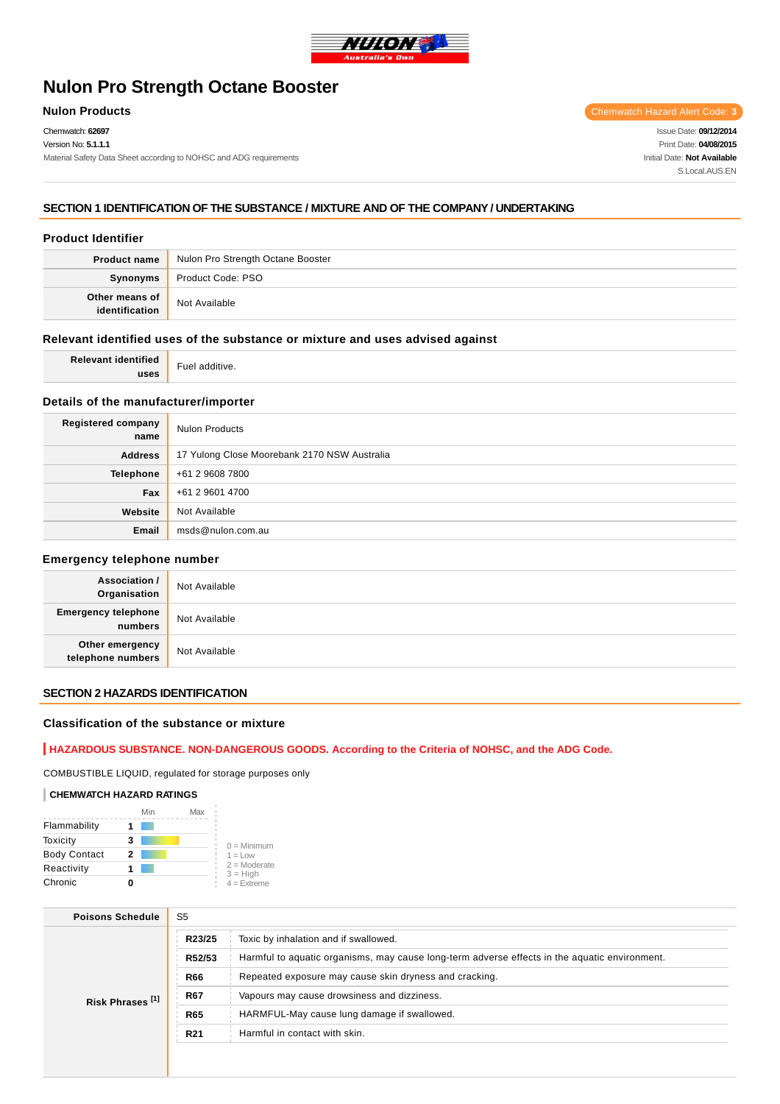

# **Nulon Pro Strength Octane Booster**

Chemwatch: **62697**

Material Safety Data Sheet according to NOHSC and ADG requirements

**Nulon Products** Chemwatch Hazard Alert Code: 3

Issue Date: **09/12/2014** Print Date: **04/08/2015** Initial Date: **Not Available** S.Local AUS FN

### **SECTION 1 IDENTIFICATION OF THE SUBSTANCE / MIXTURE AND OF THE COMPANY / UNDERTAKING**

### **Product Identifier**

| <b>Product name</b>          | Nulon Pro Strength Octane Booster |
|------------------------------|-----------------------------------|
| <b>Synonyms</b>              | Product Code: PSO                 |
| Other means of dentification | Not Available                     |

### **Relevant identified uses of the substance or mixture and uses advised against**

| $-0.000$<br><b>Polovant</b><br>≅ntifieo | $\overline{\phantom{0}}$<br>$\cdots$<br>FUE <sup>1</sup><br>⊸dutuve |
|-----------------------------------------|---------------------------------------------------------------------|
| <b>HEAS</b><br>-4353                    | .                                                                   |

### **Details of the manufacturer/importer**

| Registered company<br>name | <b>Nulon Products</b>                        |
|----------------------------|----------------------------------------------|
| <b>Address</b>             | 17 Yulong Close Moorebank 2170 NSW Australia |
| <b>Telephone</b>           | +61 2 9608 7800                              |
| Fax                        | +61 2 9601 4700                              |
| Website                    | Not Available                                |
| Email                      | msds@nulon.com.au                            |

#### **Emergency telephone number**

| <b>Association /</b><br>Organisation    | Not Available |
|-----------------------------------------|---------------|
| <b>Emergency telephone</b><br>  numbers | Not Available |
| Other emergency<br>telephone numbers    | Not Available |

### **SECTION 2 HAZARDS IDENTIFICATION**

### **Classification of the substance or mixture**

# **HAZARDOUS SUBSTANCE. NON-DANGEROUS GOODS. According to the Criteria of NOHSC, and the ADG Code.**

COMBUSTIBLE LIQUID, regulated for storage purposes only

#### **CHEMWATCH HAZARD RATINGS**

|                     | Min | Max |                              |
|---------------------|-----|-----|------------------------------|
| Flammability        |     |     |                              |
| Toxicity            | 3   |     | $0 =$ Minimum                |
| <b>Body Contact</b> | 2   |     | $1 = Low$                    |
| Reactivity          |     |     | $2 =$ Moderate<br>$3 = High$ |
| Chronic             |     |     | $4 =$ Extreme                |

| <b>Poisons Schedule</b>     | S <sub>5</sub>  |                                                                                               |  |
|-----------------------------|-----------------|-----------------------------------------------------------------------------------------------|--|
| Risk Phrases <sup>[1]</sup> | R23/25          | Toxic by inhalation and if swallowed.                                                         |  |
|                             | R52/53          | Harmful to aquatic organisms, may cause long-term adverse effects in the aquatic environment. |  |
|                             | <b>R66</b>      | Repeated exposure may cause skin dryness and cracking.                                        |  |
|                             | <b>R67</b>      | Vapours may cause drowsiness and dizziness.                                                   |  |
|                             | <b>R65</b>      | HARMFUL-May cause lung damage if swallowed.                                                   |  |
|                             | R <sub>21</sub> | Harmful in contact with skin.                                                                 |  |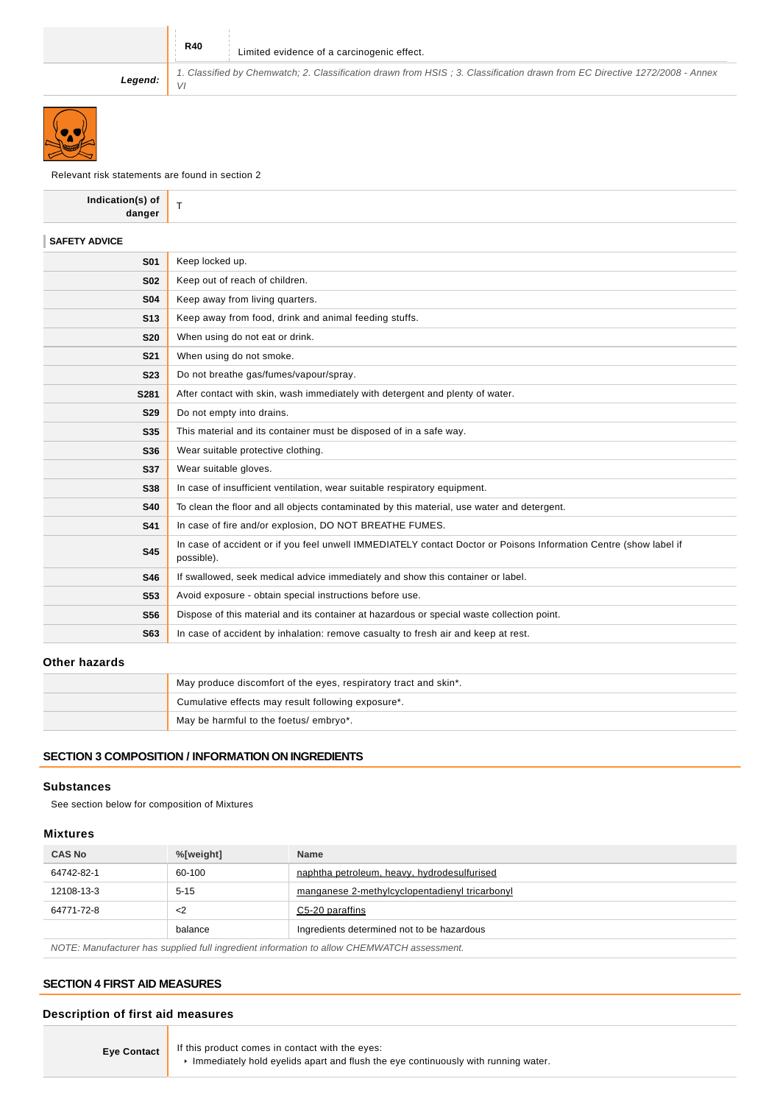VI

**Legend:**

Relevant risk statements are found in section 2

| Indication(s) of<br>danger | T.                                                                                                                              |
|----------------------------|---------------------------------------------------------------------------------------------------------------------------------|
| <b>SAFETY ADVICE</b>       |                                                                                                                                 |
| <b>S01</b>                 | Keep locked up.                                                                                                                 |
| <b>S02</b>                 | Keep out of reach of children.                                                                                                  |
| <b>S04</b>                 | Keep away from living quarters.                                                                                                 |
| <b>S13</b>                 | Keep away from food, drink and animal feeding stuffs.                                                                           |
| <b>S20</b>                 | When using do not eat or drink.                                                                                                 |
| <b>S21</b>                 | When using do not smoke.                                                                                                        |
| <b>S23</b>                 | Do not breathe gas/fumes/vapour/spray.                                                                                          |
| S281                       | After contact with skin, wash immediately with detergent and plenty of water.                                                   |
| <b>S29</b>                 | Do not empty into drains.                                                                                                       |
| <b>S35</b>                 | This material and its container must be disposed of in a safe way.                                                              |
| S36                        | Wear suitable protective clothing.                                                                                              |
| <b>S37</b>                 | Wear suitable gloves.                                                                                                           |
| <b>S38</b>                 | In case of insufficient ventilation, wear suitable respiratory equipment.                                                       |
| <b>S40</b>                 | To clean the floor and all objects contaminated by this material, use water and detergent.                                      |
| <b>S41</b>                 | In case of fire and/or explosion, DO NOT BREATHE FUMES.                                                                         |
| <b>S45</b>                 | In case of accident or if you feel unwell IMMEDIATELY contact Doctor or Poisons Information Centre (show label if<br>possible). |
| S46                        | If swallowed, seek medical advice immediately and show this container or label.                                                 |
| <b>S53</b>                 | Avoid exposure - obtain special instructions before use.                                                                        |
| <b>S56</b>                 | Dispose of this material and its container at hazardous or special waste collection point.                                      |
| <b>S63</b>                 | In case of accident by inhalation: remove casualty to fresh air and keep at rest.                                               |
|                            |                                                                                                                                 |

1. Classified by Chemwatch; 2. Classification drawn from HSIS ; 3. Classification drawn from EC Directive 1272/2008 - Annex

### **Other hazards**

| May produce discomfort of the eyes, respiratory tract and skin*. |  |
|------------------------------------------------------------------|--|
| Cumulative effects may result following exposure*.               |  |
| May be harmful to the foetus/ embryo*.                           |  |

### **SECTION 3 COMPOSITION / INFORMATION ON INGREDIENTS**

### **Substances**

See section below for composition of Mixtures

### **Mixtures**

| %[weight] | <b>Name</b>                                    |
|-----------|------------------------------------------------|
| 60-100    | naphtha petroleum, heavy, hydrodesulfurised    |
| $5 - 15$  | manganese 2-methylcyclopentadienyl tricarbonyl |
| <2        | C5-20 paraffins                                |
| balance   | Ingredients determined not to be hazardous     |
|           |                                                |

NOTE: Manufacturer has supplied full ingredient information to allow CHEMWATCH assessment.

### **SECTION 4 FIRST AID MEASURES**

### **Description of first aid measures**

**Eye Contact** If this product comes in contact with the eyes:

 $\blacktriangleright$  Immediately hold eyelids apart and flush the eye continuously with running water.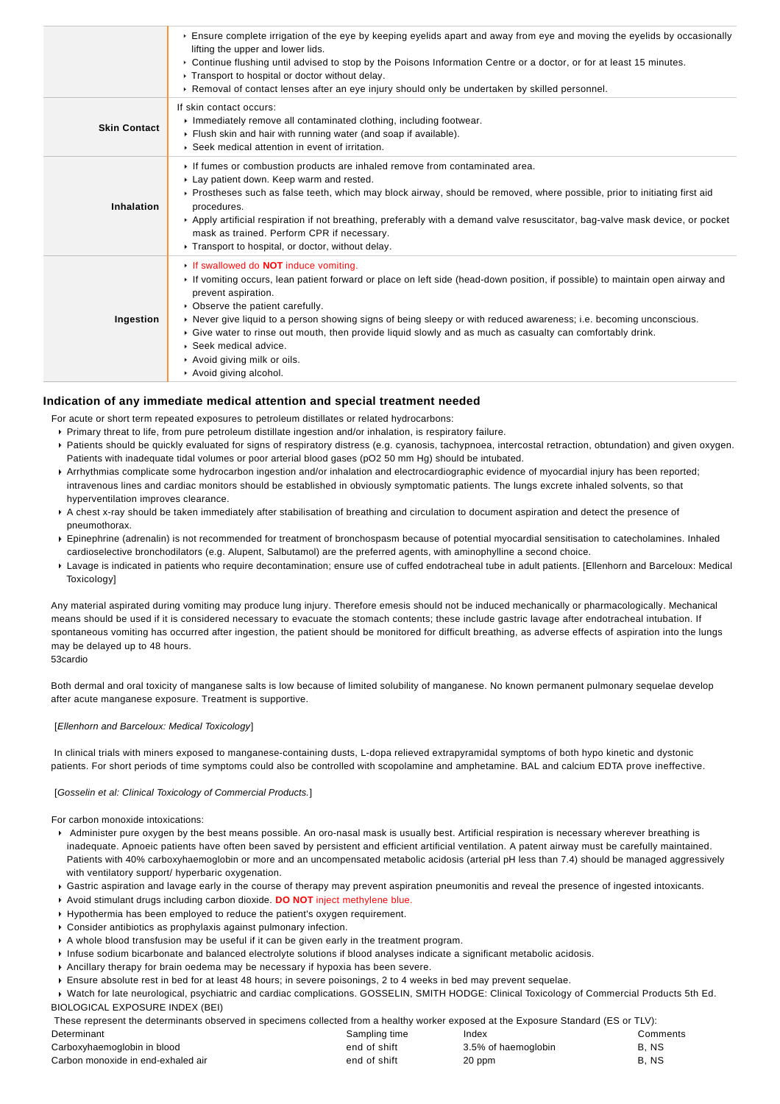|                     | Ensure complete irrigation of the eye by keeping eyelids apart and away from eye and moving the eyelids by occasionally<br>lifting the upper and lower lids.<br>▶ Continue flushing until advised to stop by the Poisons Information Centre or a doctor, or for at least 15 minutes.<br>▶ Transport to hospital or doctor without delay.<br>▶ Removal of contact lenses after an eye injury should only be undertaken by skilled personnel.                                                                                                                  |
|---------------------|--------------------------------------------------------------------------------------------------------------------------------------------------------------------------------------------------------------------------------------------------------------------------------------------------------------------------------------------------------------------------------------------------------------------------------------------------------------------------------------------------------------------------------------------------------------|
| <b>Skin Contact</b> | If skin contact occurs:<br>Immediately remove all contaminated clothing, including footwear.<br>Flush skin and hair with running water (and soap if available).<br>▶ Seek medical attention in event of irritation.                                                                                                                                                                                                                                                                                                                                          |
| Inhalation          | If fumes or combustion products are inhaled remove from contaminated area.<br>Lay patient down. Keep warm and rested.<br>▶ Prostheses such as false teeth, which may block airway, should be removed, where possible, prior to initiating first aid<br>procedures.<br>▶ Apply artificial respiration if not breathing, preferably with a demand valve resuscitator, bag-valve mask device, or pocket<br>mask as trained. Perform CPR if necessary.<br>Transport to hospital, or doctor, without delay.                                                       |
| Ingestion           | If swallowed do <b>NOT</b> induce vomiting.<br>► If vomiting occurs, lean patient forward or place on left side (head-down position, if possible) to maintain open airway and<br>prevent aspiration.<br>• Observe the patient carefully.<br>▶ Never give liquid to a person showing signs of being sleepy or with reduced awareness; i.e. becoming unconscious.<br>▶ Give water to rinse out mouth, then provide liquid slowly and as much as casualty can comfortably drink.<br>Seek medical advice.<br>Avoid giving milk or oils.<br>Avoid giving alcohol. |

### **Indication of any immediate medical attention and special treatment needed**

For acute or short term repeated exposures to petroleum distillates or related hydrocarbons:

- Primary threat to life, from pure petroleum distillate ingestion and/or inhalation, is respiratory failure.
- Patients should be quickly evaluated for signs of respiratory distress (e.g. cyanosis, tachypnoea, intercostal retraction, obtundation) and given oxygen. Patients with inadequate tidal volumes or poor arterial blood gases (pO2 50 mm Hg) should be intubated.
- Arrhythmias complicate some hydrocarbon ingestion and/or inhalation and electrocardiographic evidence of myocardial injury has been reported; intravenous lines and cardiac monitors should be established in obviously symptomatic patients. The lungs excrete inhaled solvents, so that hyperventilation improves clearance.
- A chest x-ray should be taken immediately after stabilisation of breathing and circulation to document aspiration and detect the presence of pneumothorax.
- Epinephrine (adrenalin) is not recommended for treatment of bronchospasm because of potential myocardial sensitisation to catecholamines. Inhaled cardioselective bronchodilators (e.g. Alupent, Salbutamol) are the preferred agents, with aminophylline a second choice.
- Lavage is indicated in patients who require decontamination; ensure use of cuffed endotracheal tube in adult patients. [Ellenhorn and Barceloux: Medical **Toxicology**

Any material aspirated during vomiting may produce lung injury. Therefore emesis should not be induced mechanically or pharmacologically. Mechanical means should be used if it is considered necessary to evacuate the stomach contents; these include gastric lavage after endotracheal intubation. If spontaneous vomiting has occurred after ingestion, the patient should be monitored for difficult breathing, as adverse effects of aspiration into the lungs may be delayed up to 48 hours.

53cardio

Both dermal and oral toxicity of manganese salts is low because of limited solubility of manganese. No known permanent pulmonary sequelae develop after acute manganese exposure. Treatment is supportive.

#### [Ellenhorn and Barceloux: Medical Toxicology]

 In clinical trials with miners exposed to manganese-containing dusts, L-dopa relieved extrapyramidal symptoms of both hypo kinetic and dystonic patients. For short periods of time symptoms could also be controlled with scopolamine and amphetamine. BAL and calcium EDTA prove ineffective.

#### [Gosselin et al: Clinical Toxicology of Commercial Products.]

For carbon monoxide intoxications:

- Administer pure oxygen by the best means possible. An oro-nasal mask is usually best. Artificial respiration is necessary wherever breathing is inadequate. Apnoeic patients have often been saved by persistent and efficient artificial ventilation. A patent airway must be carefully maintained. Patients with 40% carboxyhaemoglobin or more and an uncompensated metabolic acidosis (arterial pH less than 7.4) should be managed aggressively with ventilatory support/ hyperbaric oxygenation.
- Gastric aspiration and lavage early in the course of therapy may prevent aspiration pneumonitis and reveal the presence of ingested intoxicants.
- Avoid stimulant drugs including carbon dioxide. **DO NOT** inject methylene blue.
- Hypothermia has been employed to reduce the patient's oxygen requirement.
- Consider antibiotics as prophylaxis against pulmonary infection.
- A whole blood transfusion may be useful if it can be given early in the treatment program.
- Infuse sodium bicarbonate and balanced electrolyte solutions if blood analyses indicate a significant metabolic acidosis.
- Ancillary therapy for brain oedema may be necessary if hypoxia has been severe.
- Ensure absolute rest in bed for at least 48 hours; in severe poisonings, 2 to 4 weeks in bed may prevent sequelae.
- Watch for late neurological, psychiatric and cardiac complications. GOSSELIN, SMITH HODGE: Clinical Toxicology of Commercial Products 5th Ed. BIOLOGICAL EXPOSURE INDEX (BEI)

These represent the determinants observed in specimens collected from a healthy worker exposed at the Exposure Standard (ES or TLV):

| Determinant                        | Sampling time | Index               | Comments |
|------------------------------------|---------------|---------------------|----------|
| Carboxyhaemoglobin in blood        | end of shift  | 3.5% of haemoglobin | B.NS     |
| Carbon monoxide in end-exhaled air | end of shift  | 20 ppm              | B.NS     |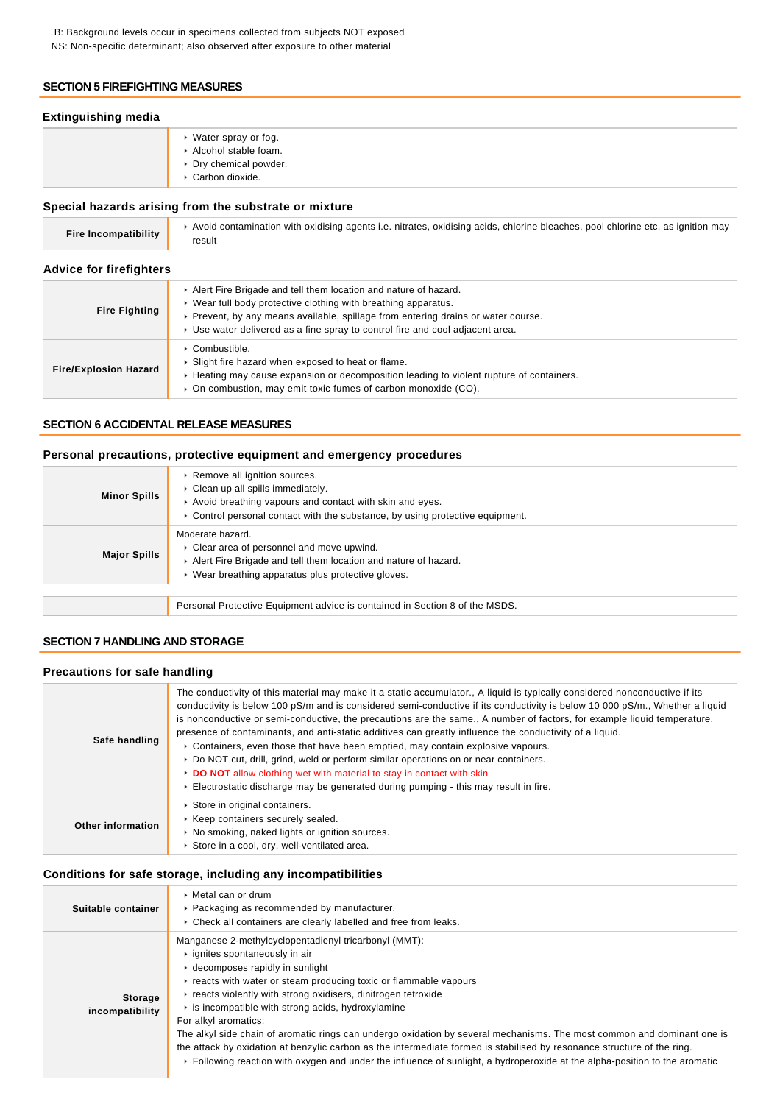B: Background levels occur in specimens collected from subjects NOT exposed NS: Non-specific determinant; also observed after exposure to other material

### **SECTION 5 FIREFIGHTING MEASURES**

### **Extinguishing media**

Water spray or fog. Alcohol stable foam. Dry chemical powder. Carbon dioxide.

### **Special hazards arising from the substrate or mixture**

| Fire Incompatibility | Avoid contamination with oxidising agents i.e. nitrates, oxidising acids, chlorine bleaches, pool chlorine etc. as ignition may |
|----------------------|---------------------------------------------------------------------------------------------------------------------------------|
|                      | result                                                                                                                          |

### **Advice for firefighters**

| <b>Fire Fighting</b>         | Alert Fire Brigade and tell them location and nature of hazard.<br>▶ Wear full body protective clothing with breathing apparatus.<br>▶ Prevent, by any means available, spillage from entering drains or water course.<br>► Use water delivered as a fine spray to control fire and cool adjacent area. |
|------------------------------|---------------------------------------------------------------------------------------------------------------------------------------------------------------------------------------------------------------------------------------------------------------------------------------------------------|
| <b>Fire/Explosion Hazard</b> | ▶ Combustible.<br>▶ Slight fire hazard when exposed to heat or flame.<br>► Heating may cause expansion or decomposition leading to violent rupture of containers.<br>• On combustion, may emit toxic fumes of carbon monoxide (CO).                                                                     |

### **SECTION 6 ACCIDENTAL RELEASE MEASURES**

### **Personal precautions, protective equipment and emergency procedures**

| <b>Minor Spills</b> | ▶ Remove all ignition sources.<br>Clean up all spills immediately.<br>Avoid breathing vapours and contact with skin and eyes.<br>$\triangleright$ Control personal contact with the substance, by using protective equipment. |
|---------------------|-------------------------------------------------------------------------------------------------------------------------------------------------------------------------------------------------------------------------------|
| <b>Major Spills</b> | Moderate hazard.<br>Clear area of personnel and move upwind.<br>Alert Fire Brigade and tell them location and nature of hazard.<br>▶ Wear breathing apparatus plus protective gloves.                                         |
|                     |                                                                                                                                                                                                                               |
|                     | Personal Protective Equipment advice is contained in Section 8 of the MSDS.                                                                                                                                                   |

### **SECTION 7 HANDLING AND STORAGE**

### **Precautions for safe handling**

| Safe handling     | The conductivity of this material may make it a static accumulator., A liquid is typically considered nonconductive if its<br>conductivity is below 100 pS/m and is considered semi-conductive if its conductivity is below 10 000 pS/m., Whether a liquid<br>is nonconductive or semi-conductive, the precautions are the same., A number of factors, for example liquid temperature,<br>presence of contaminants, and anti-static additives can greatly influence the conductivity of a liquid.<br>► Containers, even those that have been emptied, may contain explosive vapours.<br>► Do NOT cut, drill, grind, weld or perform similar operations on or near containers.<br>• DO NOT allow clothing wet with material to stay in contact with skin<br>Electrostatic discharge may be generated during pumping - this may result in fire. |
|-------------------|-----------------------------------------------------------------------------------------------------------------------------------------------------------------------------------------------------------------------------------------------------------------------------------------------------------------------------------------------------------------------------------------------------------------------------------------------------------------------------------------------------------------------------------------------------------------------------------------------------------------------------------------------------------------------------------------------------------------------------------------------------------------------------------------------------------------------------------------------|
| Other information | Store in original containers.<br>▶ Keep containers securely sealed.<br>• No smoking, naked lights or ignition sources.<br>Store in a cool, dry, well-ventilated area.                                                                                                                                                                                                                                                                                                                                                                                                                                                                                                                                                                                                                                                                         |

### **Conditions for safe storage, including any incompatibilities**

| Suitable container                | $\triangleright$ Metal can or drum<br>▶ Packaging as recommended by manufacturer.<br>▶ Check all containers are clearly labelled and free from leaks.                                                                                                                                                                                                                                                                                                                                                                                                                                                                                                                                                                                 |
|-----------------------------------|---------------------------------------------------------------------------------------------------------------------------------------------------------------------------------------------------------------------------------------------------------------------------------------------------------------------------------------------------------------------------------------------------------------------------------------------------------------------------------------------------------------------------------------------------------------------------------------------------------------------------------------------------------------------------------------------------------------------------------------|
| <b>Storage</b><br>incompatibility | Manganese 2-methylcyclopentadienyl tricarbonyl (MMT):<br>iqnites spontaneously in air<br>► decomposes rapidly in sunlight<br>reacts with water or steam producing toxic or flammable vapours<br>reacts violently with strong oxidisers, dinitrogen tetroxide<br>$\cdot$ is incompatible with strong acids, hydroxylamine<br>For alkyl aromatics:<br>The alkyl side chain of aromatic rings can undergo oxidation by several mechanisms. The most common and dominant one is<br>the attack by oxidation at benzylic carbon as the intermediate formed is stabilised by resonance structure of the ring.<br>► Following reaction with oxygen and under the influence of sunlight, a hydroperoxide at the alpha-position to the aromatic |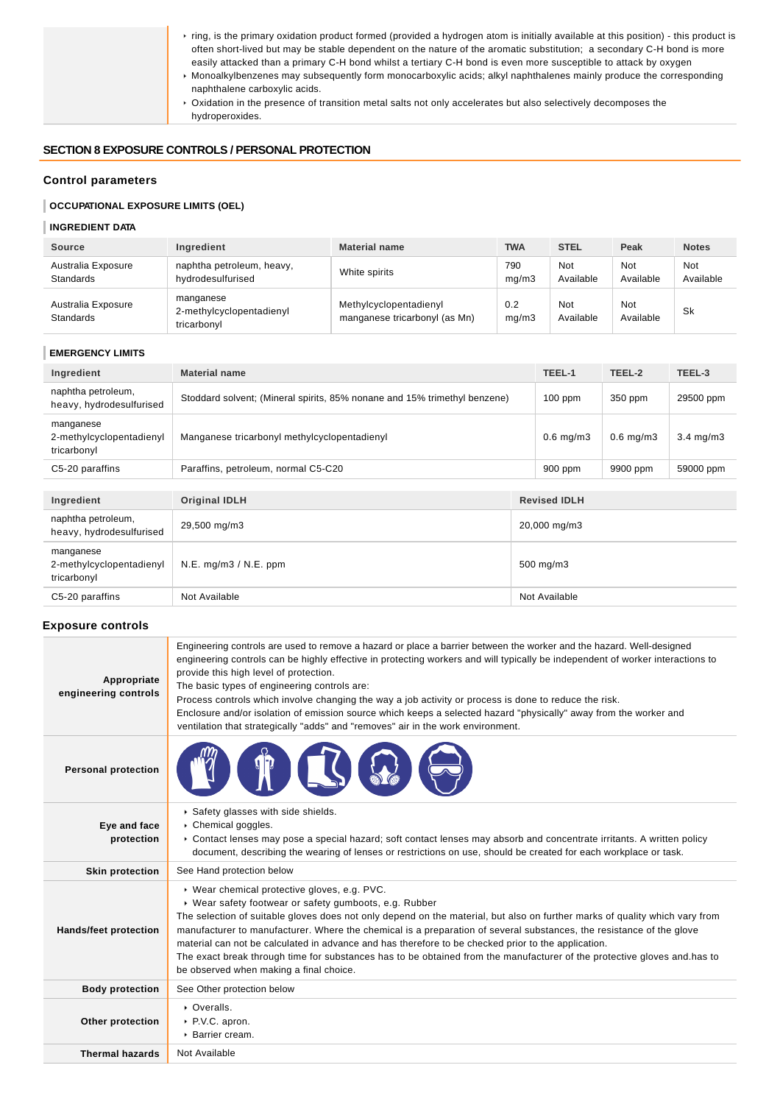| ring, is the primary oxidation product formed (provided a hydrogen atom is initially available at this position) - this product is<br>often short-lived but may be stable dependent on the nature of the aromatic substitution; a secondary C-H bond is more<br>easily attacked than a primary C-H bond whilst a tertiary C-H bond is even more susceptible to attack by oxygen |
|---------------------------------------------------------------------------------------------------------------------------------------------------------------------------------------------------------------------------------------------------------------------------------------------------------------------------------------------------------------------------------|
|                                                                                                                                                                                                                                                                                                                                                                                 |
| • Monoalkylbenzenes may subsequently form monocarboxylic acids; alkyl naphthalenes mainly produce the corresponding<br>naphthalene carboxylic acids.                                                                                                                                                                                                                            |
| ▶ Oxidation in the presence of transition metal salts not only accelerates but also selectively decomposes the                                                                                                                                                                                                                                                                  |
| hydroperoxides.                                                                                                                                                                                                                                                                                                                                                                 |

## **SECTION 8 EXPOSURE CONTROLS / PERSONAL PROTECTION**

# **Control parameters**

# **OCCUPATIONAL EXPOSURE LIMITS (OEL)**

# **INGREDIENT DATA**

| <b>Source</b>                          | Ingredient                                           | <b>Material name</b>                                    | TWA          | <b>STEL</b>      | Peak             | <b>Notes</b>     |
|----------------------------------------|------------------------------------------------------|---------------------------------------------------------|--------------|------------------|------------------|------------------|
| Australia Exposure<br><b>Standards</b> | naphtha petroleum, heavy,<br>hydrodesulfurised       | White spirits                                           | 790<br>mq/m3 | Not<br>Available | Not<br>Available | Not<br>Available |
| Australia Exposure<br><b>Standards</b> | manganese<br>2-methylcyclopentadienyl<br>tricarbonyl | Methylcyclopentadienyl<br>manganese tricarbonyl (as Mn) | 0.2<br>mq/m3 | Not<br>Available | Not<br>Available | <b>Sk</b>        |

### **EMERGENCY LIMITS**

| Ingredient                                           | <b>Material name</b>                                                      |               | TEEL-1              | TEEL-2         | TEEL-3             |
|------------------------------------------------------|---------------------------------------------------------------------------|---------------|---------------------|----------------|--------------------|
| naphtha petroleum,<br>heavy, hydrodesulfurised       | Stoddard solvent; (Mineral spirits, 85% nonane and 15% trimethyl benzene) |               | $100$ ppm           | 350 ppm        | 29500 ppm          |
| manganese<br>2-methylcyclopentadienyl<br>tricarbonyl | Manganese tricarbonyl methylcyclopentadienyl                              |               | $0.6$ mg/m $3$      | $0.6$ mg/m $3$ | $3.4 \text{ mg/m}$ |
| C5-20 paraffins                                      | Paraffins, petroleum, normal C5-C20                                       |               | $900$ ppm           | 9900 ppm       | 59000 ppm          |
|                                                      |                                                                           |               |                     |                |                    |
| Ingredient                                           | <b>Original IDLH</b>                                                      |               | <b>Revised IDLH</b> |                |                    |
| naphtha petroleum,<br>heavy, hydrodesulfurised       | 29,500 mg/m3                                                              | 20,000 mg/m3  |                     |                |                    |
| manganese<br>2-methylcyclopentadienyl<br>tricarbonyl | $N.E.$ mg/m $3 / N.E.$ ppm                                                | 500 mg/m3     |                     |                |                    |
| C5-20 paraffins                                      | Not Available                                                             | Not Available |                     |                |                    |

### **Exposure controls**

| Appropriate<br>engineering controls | Engineering controls are used to remove a hazard or place a barrier between the worker and the hazard. Well-designed<br>engineering controls can be highly effective in protecting workers and will typically be independent of worker interactions to<br>provide this high level of protection.<br>The basic types of engineering controls are:<br>Process controls which involve changing the way a job activity or process is done to reduce the risk.<br>Enclosure and/or isolation of emission source which keeps a selected hazard "physically" away from the worker and<br>ventilation that strategically "adds" and "removes" air in the work environment. |
|-------------------------------------|--------------------------------------------------------------------------------------------------------------------------------------------------------------------------------------------------------------------------------------------------------------------------------------------------------------------------------------------------------------------------------------------------------------------------------------------------------------------------------------------------------------------------------------------------------------------------------------------------------------------------------------------------------------------|
| <b>Personal protection</b>          |                                                                                                                                                                                                                                                                                                                                                                                                                                                                                                                                                                                                                                                                    |
| Eye and face<br>protection          | Safety glasses with side shields.<br>Chemical goggles.<br>▶ Contact lenses may pose a special hazard; soft contact lenses may absorb and concentrate irritants. A written policy<br>document, describing the wearing of lenses or restrictions on use, should be created for each workplace or task.                                                                                                                                                                                                                                                                                                                                                               |
| <b>Skin protection</b>              | See Hand protection below                                                                                                                                                                                                                                                                                                                                                                                                                                                                                                                                                                                                                                          |
| <b>Hands/feet protection</b>        | ▶ Wear chemical protective gloves, e.g. PVC.<br>▶ Wear safety footwear or safety gumboots, e.g. Rubber<br>The selection of suitable gloves does not only depend on the material, but also on further marks of quality which vary from<br>manufacturer to manufacturer. Where the chemical is a preparation of several substances, the resistance of the glove<br>material can not be calculated in advance and has therefore to be checked prior to the application.<br>The exact break through time for substances has to be obtained from the manufacturer of the protective gloves and has to<br>be observed when making a final choice.                        |
| <b>Body protection</b>              | See Other protection below                                                                                                                                                                                                                                                                                                                                                                                                                                                                                                                                                                                                                                         |
| Other protection                    | • Overalls.<br>▶ P.V.C. apron.<br>$\triangleright$ Barrier cream.                                                                                                                                                                                                                                                                                                                                                                                                                                                                                                                                                                                                  |
| <b>Thermal hazards</b>              | Not Available                                                                                                                                                                                                                                                                                                                                                                                                                                                                                                                                                                                                                                                      |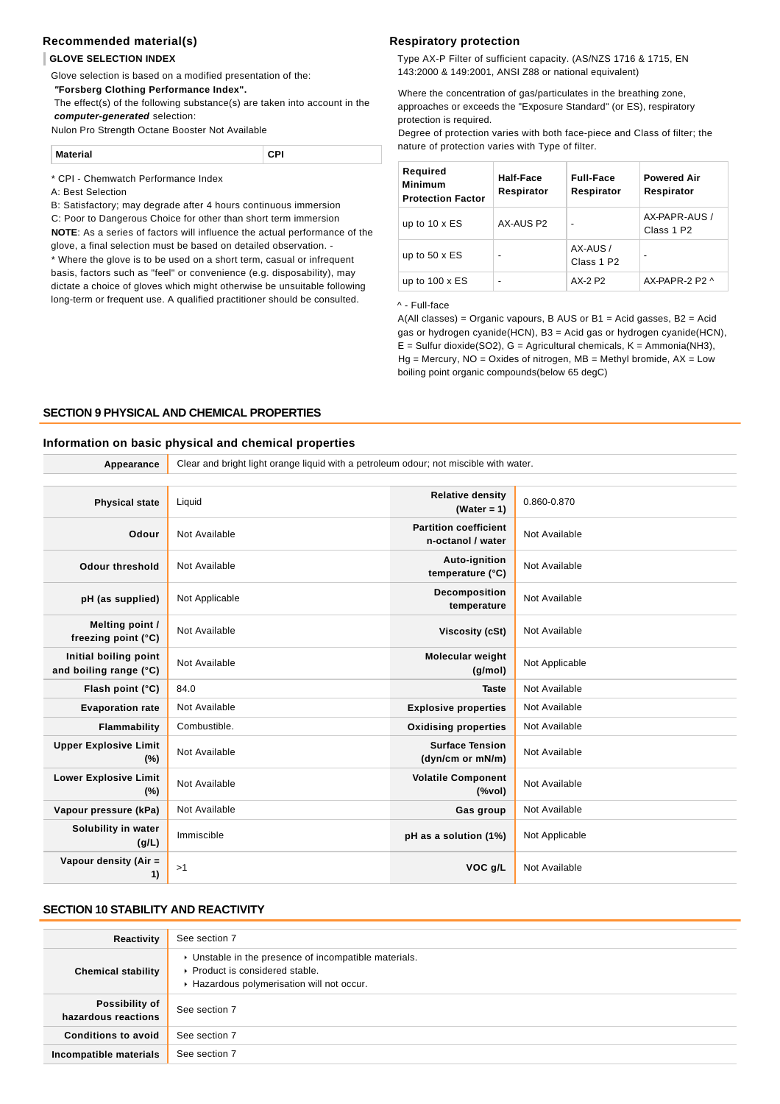### **Recommended material(s)**

#### **GLOVE SELECTION INDEX**

Glove selection is based on a modified presentation of the:

 **"Forsberg Clothing Performance Index".**

 The effect(s) of the following substance(s) are taken into account in the **computer-generated** selection:

Nulon Pro Strength Octane Booster Not Available

**Material CPI**

#### \* CPI - Chemwatch Performance Index

A: Best Selection

B: Satisfactory; may degrade after 4 hours continuous immersion

C: Poor to Dangerous Choice for other than short term immersion

**NOTE**: As a series of factors will influence the actual performance of the glove, a final selection must be based on detailed observation. -

\* Where the glove is to be used on a short term, casual or infrequent basis, factors such as "feel" or convenience (e.g. disposability), may dictate a choice of gloves which might otherwise be unsuitable following long-term or frequent use. A qualified practitioner should be consulted.

#### **Respiratory protection**

Type AX-P Filter of sufficient capacity. (AS/NZS 1716 & 1715, EN 143:2000 & 149:2001, ANSI Z88 or national equivalent)

Where the concentration of gas/particulates in the breathing zone, approaches or exceeds the "Exposure Standard" (or ES), respiratory protection is required.

Degree of protection varies with both face-piece and Class of filter; the nature of protection varies with Type of filter.

| Required<br>Minimum<br><b>Protection Factor</b> | Half-Face<br>Respirator  | <b>Full-Face</b><br>Respirator     | <b>Powered Air</b><br>Respirator        |
|-------------------------------------------------|--------------------------|------------------------------------|-----------------------------------------|
| up to $10 \times ES$                            | AX-AUS P2                |                                    | AX-PAPR-AUS /<br>Class 1 P <sub>2</sub> |
| up to $50 \times ES$                            | $\overline{\phantom{0}}$ | AX-AUS /<br>Class 1 P <sub>2</sub> |                                         |
| up to $100 \times ES$                           | $\overline{\phantom{0}}$ | AX-2 P2                            | AX-PAPR-2 P2 ^                          |

^ - Full-face

A(All classes) = Organic vapours, B AUS or B1 = Acid gasses, B2 = Acid gas or hydrogen cyanide(HCN), B3 = Acid gas or hydrogen cyanide(HCN),  $E =$  Sulfur dioxide(SO2), G = Agricultural chemicals, K = Ammonia(NH3),  $Hg =$  Mercury,  $NO =$  Oxides of nitrogen,  $MB =$  Methyl bromide,  $AX =$  Low boiling point organic compounds(below 65 degC)

### **SECTION 9 PHYSICAL AND CHEMICAL PROPERTIES**

#### **Information on basic physical and chemical properties**

| Appearance                                      | Clear and bright light orange liquid with a petroleum odour; not miscible with water. |                                                                               |                |
|-------------------------------------------------|---------------------------------------------------------------------------------------|-------------------------------------------------------------------------------|----------------|
|                                                 |                                                                                       |                                                                               |                |
| <b>Physical state</b>                           | Liquid                                                                                | <b>Relative density</b><br>(Water = $1$ )                                     | 0.860-0.870    |
| Odour                                           | Not Available                                                                         | <b>Partition coefficient</b><br>n-octanol / water                             | Not Available  |
| <b>Odour threshold</b>                          | Not Available                                                                         | Auto-ignition<br>temperature (°C)                                             | Not Available  |
| pH (as supplied)                                | Not Applicable                                                                        | Decomposition<br>temperature                                                  | Not Available  |
| Melting point /<br>freezing point (°C)          | Not Available                                                                         | <b>Viscosity (cSt)</b>                                                        | Not Available  |
| Initial boiling point<br>and boiling range (°C) | Not Available                                                                         | Molecular weight<br>(g/mol)                                                   | Not Applicable |
| Flash point (°C)                                | 84.0                                                                                  | <b>Taste</b>                                                                  | Not Available  |
| <b>Evaporation rate</b>                         | Not Available                                                                         | <b>Explosive properties</b>                                                   | Not Available  |
| Flammability                                    | Combustible.                                                                          | <b>Oxidising properties</b>                                                   | Not Available  |
| <b>Upper Explosive Limit</b><br>$(\%)$          | Not Available                                                                         | <b>Surface Tension</b><br>(dyn/cm or mN/m)                                    | Not Available  |
| <b>Lower Explosive Limit</b><br>$(\%)$          | Not Available                                                                         | <b>Volatile Component</b><br>$(% \mathcal{L}^{\prime }\mathcal{N}^{\prime })$ | Not Available  |
| Vapour pressure (kPa)                           | Not Available                                                                         | Gas group                                                                     | Not Available  |
| Solubility in water<br>(g/L)                    | Immiscible                                                                            | pH as a solution (1%)                                                         | Not Applicable |
| Vapour density (Air =<br>1)                     | >1                                                                                    | VOC g/L                                                                       | Not Available  |

### **SECTION 10 STABILITY AND REACTIVITY**

| Reactivity                                   | See section 7                                                                                                                        |
|----------------------------------------------|--------------------------------------------------------------------------------------------------------------------------------------|
| <b>Chemical stability</b>                    | • Unstable in the presence of incompatible materials.<br>▶ Product is considered stable.<br>Hazardous polymerisation will not occur. |
| <b>Possibility of</b><br>hazardous reactions | See section 7                                                                                                                        |
| <b>Conditions to avoid</b>                   | See section 7                                                                                                                        |
| Incompatible materials                       | See section 7                                                                                                                        |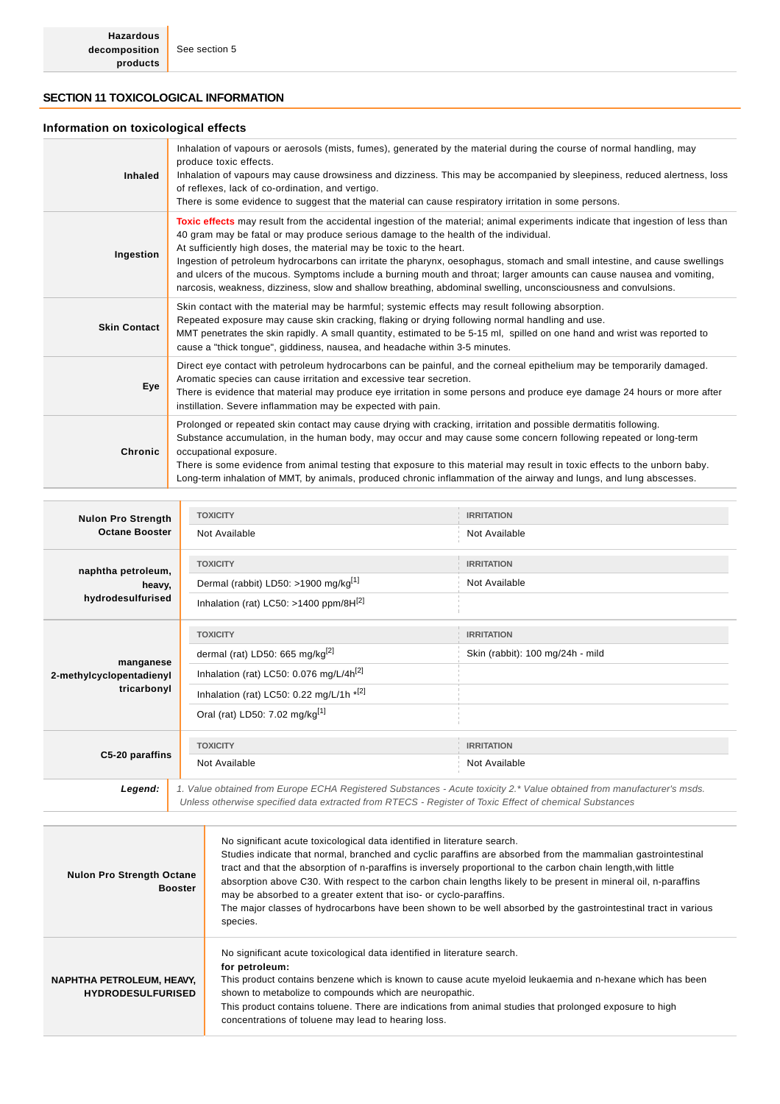# **SECTION 11 TOXICOLOGICAL INFORMATION**

### **Information on toxicological effects**

| <b>Inhaled</b>      | Inhalation of vapours or aerosols (mists, fumes), generated by the material during the course of normal handling, may<br>produce toxic effects.<br>Inhalation of vapours may cause drowsiness and dizziness. This may be accompanied by sleepiness, reduced alertness, loss<br>of reflexes, lack of co-ordination, and vertigo.<br>There is some evidence to suggest that the material can cause respiratory irritation in some persons.                                                                                                                                                                                                                               |
|---------------------|------------------------------------------------------------------------------------------------------------------------------------------------------------------------------------------------------------------------------------------------------------------------------------------------------------------------------------------------------------------------------------------------------------------------------------------------------------------------------------------------------------------------------------------------------------------------------------------------------------------------------------------------------------------------|
| Ingestion           | Toxic effects may result from the accidental ingestion of the material; animal experiments indicate that ingestion of less than<br>40 gram may be fatal or may produce serious damage to the health of the individual.<br>At sufficiently high doses, the material may be toxic to the heart.<br>Ingestion of petroleum hydrocarbons can irritate the pharynx, oesophagus, stomach and small intestine, and cause swellings<br>and ulcers of the mucous. Symptoms include a burning mouth and throat; larger amounts can cause nausea and vomiting,<br>narcosis, weakness, dizziness, slow and shallow breathing, abdominal swelling, unconsciousness and convulsions. |
| <b>Skin Contact</b> | Skin contact with the material may be harmful; systemic effects may result following absorption.<br>Repeated exposure may cause skin cracking, flaking or drying following normal handling and use.<br>MMT penetrates the skin rapidly. A small quantity, estimated to be 5-15 ml, spilled on one hand and wrist was reported to<br>cause a "thick tonque", giddiness, nausea, and headache within 3-5 minutes.                                                                                                                                                                                                                                                        |
| Eye                 | Direct eye contact with petroleum hydrocarbons can be painful, and the corneal epithelium may be temporarily damaged.<br>Aromatic species can cause irritation and excessive tear secretion.<br>There is evidence that material may produce eye irritation in some persons and produce eye damage 24 hours or more after<br>instillation. Severe inflammation may be expected with pain.                                                                                                                                                                                                                                                                               |
| Chronic             | Prolonged or repeated skin contact may cause drying with cracking, irritation and possible dermatitis following.<br>Substance accumulation, in the human body, may occur and may cause some concern following repeated or long-term<br>occupational exposure.<br>There is some evidence from animal testing that exposure to this material may result in toxic effects to the unborn baby.<br>Long-term inhalation of MMT, by animals, produced chronic inflammation of the airway and lungs, and lung abscesses.                                                                                                                                                      |

| <b>Nulon Pro Strength</b>             | <b>TOXICITY</b>                                                                                                                                                                                                                  | <b>IRRITATION</b>                |
|---------------------------------------|----------------------------------------------------------------------------------------------------------------------------------------------------------------------------------------------------------------------------------|----------------------------------|
| <b>Octane Booster</b>                 | Not Available                                                                                                                                                                                                                    | Not Available                    |
| naphtha petroleum,                    | <b>TOXICITY</b>                                                                                                                                                                                                                  | <b>IRRITATION</b>                |
| heavy,                                | Dermal (rabbit) LD50: >1900 mg/kg <sup>[1]</sup>                                                                                                                                                                                 | Not Available                    |
| hydrodesulfurised                     | Inhalation (rat) LC50: >1400 ppm/8H[2]                                                                                                                                                                                           |                                  |
|                                       | <b>TOXICITY</b>                                                                                                                                                                                                                  | <b>IRRITATION</b>                |
|                                       | dermal (rat) LD50: 665 mg/kg $^{[2]}$                                                                                                                                                                                            | Skin (rabbit): 100 mg/24h - mild |
| manganese<br>2-methylcyclopentadienyl | Inhalation (rat) LC50: 0.076 mg/L/4 $h^{[2]}$                                                                                                                                                                                    |                                  |
| tricarbonyl                           | Inhalation (rat) LC50: 0.22 mg/L/1h *[2]                                                                                                                                                                                         |                                  |
|                                       | Oral (rat) LD50: 7.02 mg/kg <sup>[1]</sup>                                                                                                                                                                                       |                                  |
|                                       | <b>TOXICITY</b>                                                                                                                                                                                                                  | <b>IRRITATION</b>                |
| C5-20 paraffins                       | Not Available                                                                                                                                                                                                                    | Not Available                    |
| Legend:                               | 1. Value obtained from Europe ECHA Registered Substances - Acute toxicity 2.* Value obtained from manufacturer's msds.<br>Unless otherwise specified data extracted from RTECS - Register of Toxic Effect of chemical Substances |                                  |
|                                       |                                                                                                                                                                                                                                  |                                  |

| <b>Nulon Pro Strength Octane</b><br><b>Booster</b>    | No significant acute toxicological data identified in literature search.<br>Studies indicate that normal, branched and cyclic paraffins are absorbed from the mammalian gastrointestinal<br>tract and that the absorption of n-paraffins is inversely proportional to the carbon chain length, with little<br>absorption above C30. With respect to the carbon chain lengths likely to be present in mineral oil, n-paraffins<br>may be absorbed to a greater extent that iso- or cyclo-paraffins.<br>The major classes of hydrocarbons have been shown to be well absorbed by the gastrointestinal tract in various<br>species. |
|-------------------------------------------------------|----------------------------------------------------------------------------------------------------------------------------------------------------------------------------------------------------------------------------------------------------------------------------------------------------------------------------------------------------------------------------------------------------------------------------------------------------------------------------------------------------------------------------------------------------------------------------------------------------------------------------------|
| NAPHTHA PETROLEUM, HEAVY,<br><b>HYDRODESULFURISED</b> | No significant acute toxicological data identified in literature search.<br>for petroleum:<br>This product contains benzene which is known to cause acute myeloid leukaemia and n-hexane which has been<br>shown to metabolize to compounds which are neuropathic.<br>This product contains toluene. There are indications from animal studies that prolonged exposure to high<br>concentrations of toluene may lead to hearing loss.                                                                                                                                                                                            |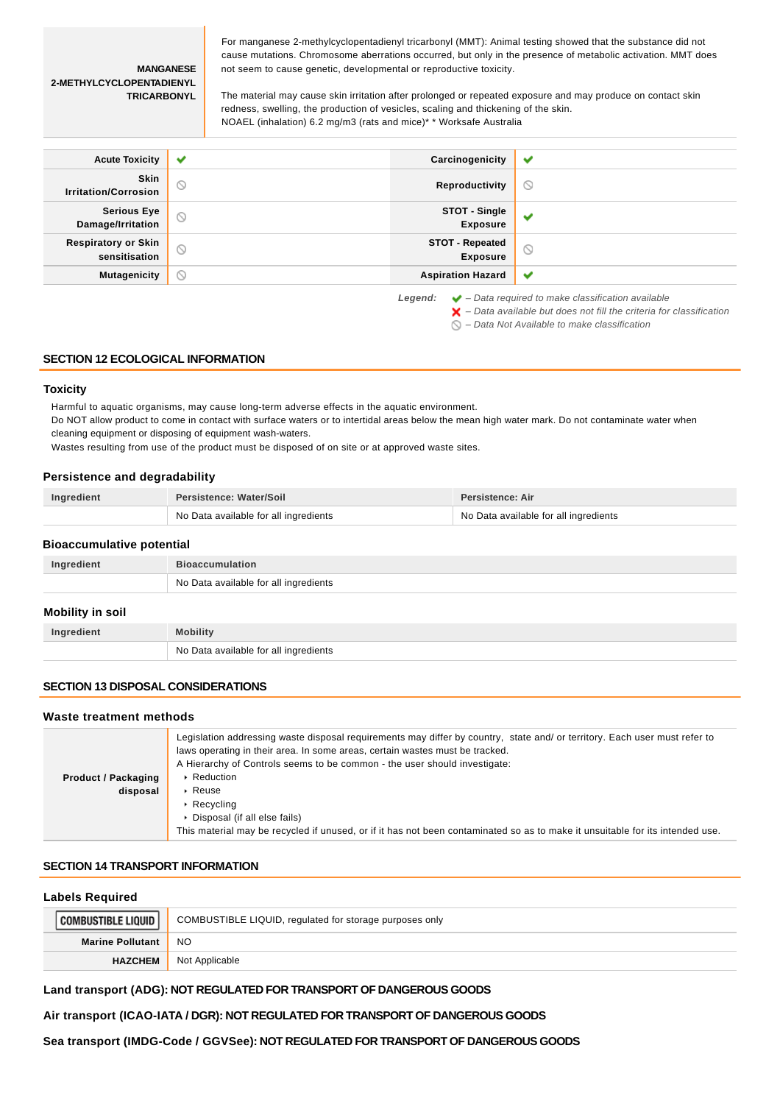#### **MANGANESE 2-METHYLCYCLOPENTADIENYL TRICARBONYL**

For manganese 2-methylcyclopentadienyl tricarbonyl (MMT): Animal testing showed that the substance did not cause mutations. Chromosome aberrations occurred, but only in the presence of metabolic activation. MMT does not seem to cause genetic, developmental or reproductive toxicity.

The material may cause skin irritation after prolonged or repeated exposure and may produce on contact skin redness, swelling, the production of vesicles, scaling and thickening of the skin. NOAEL (inhalation) 6.2 mg/m3 (rats and mice)\* \* Worksafe Australia

| <b>Acute Toxicity</b>                                                                                                                                                         | $\checkmark$   | Carcinogenicity                           | ✔              |
|-------------------------------------------------------------------------------------------------------------------------------------------------------------------------------|----------------|-------------------------------------------|----------------|
| Skin<br><b>Irritation/Corrosion</b>                                                                                                                                           | $\circledcirc$ | Reproductivity                            | $\circledcirc$ |
| <b>Serious Eye</b><br>Damage/Irritation                                                                                                                                       | $\circledcirc$ | STOT - Single<br><b>Exposure</b>          | ✔              |
| <b>Respiratory or Skin</b><br>sensitisation                                                                                                                                   | $\circledcirc$ | <b>STOT - Repeated</b><br><b>Exposure</b> | $\circ$        |
| <b>Mutagenicity</b>                                                                                                                                                           | $\circ$        | <b>Aspiration Hazard</b>                  | ✔              |
| $\blacktriangleright$ - Data required to make classification available<br>Legend:<br>$\blacktriangleright$ - Data available but does not fill the criteria for classification |                |                                           |                |

#### $\bigcirc$  – Data Not Available to make classification

### **SECTION 12 ECOLOGICAL INFORMATION**

#### **Toxicity**

Harmful to aquatic organisms, may cause long-term adverse effects in the aquatic environment.

Do NOT allow product to come in contact with surface waters or to intertidal areas below the mean high water mark. Do not contaminate water when cleaning equipment or disposing of equipment wash-waters.

Wastes resulting from use of the product must be disposed of on site or at approved waste sites.

#### **Persistence and degradability**

| Ingredient | <b>Persistence: Water/Soil</b>        | Persistence: Air                      |
|------------|---------------------------------------|---------------------------------------|
|            | No Data available for all ingredients | No Data available for all ingredients |

#### **Bioaccumulative potential**

| Ingredient | <b>Bioaccumulation</b>                |
|------------|---------------------------------------|
|            | No Data available for all ingredients |
|            |                                       |

### **Mobility in soil**

| Ingredient | <b>Mobility</b>                       |
|------------|---------------------------------------|
|            | No Data available for all ingredients |

### **SECTION 13 DISPOSAL CONSIDERATIONS**

#### **Waste treatment methods**

|                                        | Legislation addressing waste disposal requirements may differ by country, state and/ or territory. Each user must refer to<br>laws operating in their area. In some areas, certain wastes must be tracked. |
|----------------------------------------|------------------------------------------------------------------------------------------------------------------------------------------------------------------------------------------------------------|
| <b>Product / Packaging</b><br>disposal | A Hierarchy of Controls seems to be common - the user should investigate:<br>▶ Reduction<br>$\triangleright$ Reuse                                                                                         |
|                                        | $\triangleright$ Recycling<br>• Disposal (if all else fails)<br>This material may be recycled if unused, or if it has not been contaminated so as to make it unsuitable for its intended use.              |

### **SECTION 14 TRANSPORT INFORMATION**

### **Labels Required**

| OMBUSTIBLE LIQUID '     | COMBUSTIBLE LIQUID, regulated for storage purposes only |
|-------------------------|---------------------------------------------------------|
| <b>Marine Pollutant</b> | <b>NO</b>                                               |
| <b>HAZCHEM</b>          | Not Applicable                                          |

### **Land transport (ADG): NOT REGULATED FOR TRANSPORT OF DANGEROUS GOODS**

**Air transport (ICAO-IATA / DGR): NOT REGULATED FOR TRANSPORT OF DANGEROUS GOODS**

**Sea transport (IMDG-Code / GGVSee): NOT REGULATED FOR TRANSPORT OF DANGEROUS GOODS**